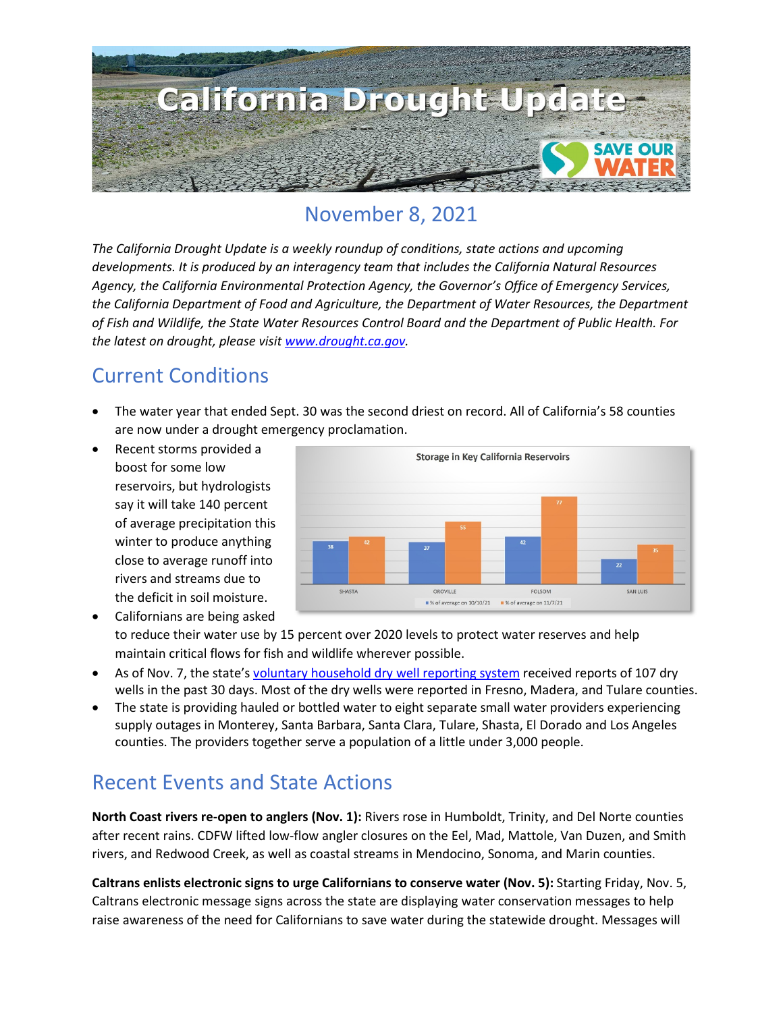

### November 8, 2021

*The California Drought Update is a weekly roundup of conditions, state actions and upcoming developments. It is produced by an interagency team that includes the California Natural Resources Agency, the California Environmental Protection Agency, the Governor's Office of Emergency Services, the California Department of Food and Agriculture, the Department of Water Resources, the Department of Fish and Wildlife, the State Water Resources Control Board and the Department of Public Health. For the latest on drought, please visit [www.drought.ca.gov.](http://www.drought.ca.gov/)* 

### Current Conditions

- The water year that ended Sept. 30 was the second driest on record. All of California's 58 counties are now under a drought emergency proclamation.
- Recent storms provided a boost for some low reservoirs, but hydrologists say it will take 140 percent of average precipitation this winter to produce anything close to average runoff into rivers and streams due to the deficit in soil moisture.



- Californians are being asked to reduce their water use by 15 percent over 2020 levels to protect water reserves and help maintain critical flows for fish and wildlife wherever possible.
- As of Nov. 7, the state's [voluntary household dry well reporting system](https://mydrywell.water.ca.gov/report/) received reports of 107 dry wells in the past 30 days. Most of the dry wells were reported in Fresno, Madera, and Tulare counties.
- The state is providing hauled or bottled water to eight separate small water providers experiencing supply outages in Monterey, Santa Barbara, Santa Clara, Tulare, Shasta, El Dorado and Los Angeles counties. The providers together serve a population of a little under 3,000 people.

### Recent Events and State Actions

**North Coast rivers re-open to anglers (Nov. 1):** Rivers rose in Humboldt, Trinity, and Del Norte counties after recent rains. CDFW lifted low-flow angler closures on the Eel, Mad, Mattole, Van Duzen, and Smith rivers, and Redwood Creek, as well as coastal streams in Mendocino, Sonoma, and Marin counties.

**Caltrans enlists electronic signs to urge Californians to conserve water (Nov. 5):** Starting Friday, Nov. 5, Caltrans electronic message signs across the state are displaying water conservation messages to help raise awareness of the need for Californians to save water during the statewide drought. Messages will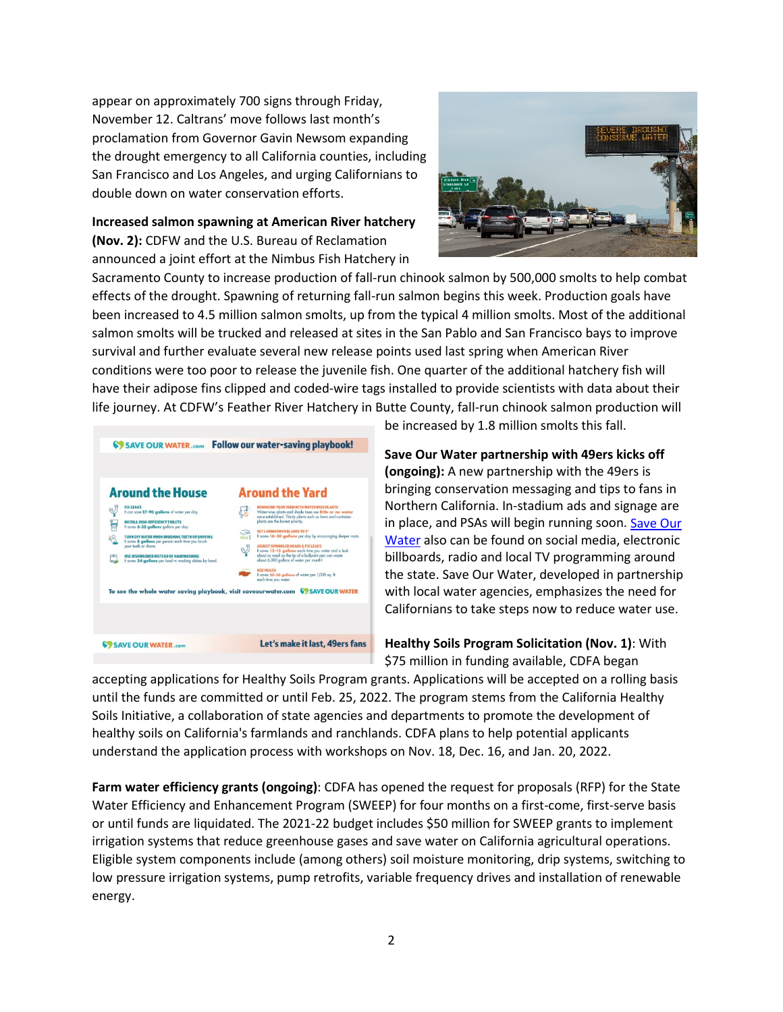appear on approximately 700 signs through Friday, November 12. Caltrans' move follows last month's proclamation from Governor Gavin Newsom expanding the drought emergency to all California counties, including San Francisco and Los Angeles, and urging Californians to double down on water conservation efforts.

**Increased salmon spawning at American River hatchery (Nov. 2):** CDFW and the U.S. Bureau of Reclamation announced a joint effort at the Nimbus Fish Hatchery in



Sacramento County to increase production of fall-run chinook salmon by 500,000 smolts to help combat effects of the drought. Spawning of returning fall-run salmon begins this week. Production goals have been increased to 4.5 million salmon smolts, up from the typical 4 million smolts. Most of the additional salmon smolts will be trucked and released at sites in the San Pablo and San Francisco bays to improve survival and further evaluate several new release points used last spring when American River conditions were too poor to release the juvenile fish. One quarter of the additional hatchery fish will have their adipose fins clipped and coded-wire tags installed to provide scientists with data about their life journey. At CDFW's Feather River Hatchery in Butte County, fall-run chinook salmon production will



be increased by 1.8 million smolts this fall.

**Save Our Water partnership with 49ers kicks off (ongoing):** A new partnership with the 49ers is bringing conservation messaging and tips to fans in Northern California. In-stadium ads and signage are in place, and PSAs will begin running soon. [Save Our](https://saveourwater.com/)  [Water](https://saveourwater.com/) also can be found on social media, electronic billboards, radio and local TV programming around the state. Save Our Water, developed in partnership with local water agencies, emphasizes the need for Californians to take steps now to reduce water use.

**Healthy Soils Program Solicitation (Nov. 1)**: With \$75 million in funding available, CDFA began

accepting applications for Healthy Soils Program grants. Applications will be accepted on a rolling basis until the funds are committed or until Feb. 25, 2022. The program stems from the California Healthy Soils Initiative, a collaboration of state agencies and departments to promote the development of healthy soils on California's farmlands and ranchlands. CDFA plans to help potential applicants understand the application process with workshops on Nov. 18, Dec. 16, and Jan. 20, 2022.

**Farm water efficiency grants (ongoing)**: CDFA has opened the request for proposals (RFP) for the State Water Efficiency and Enhancement Program (SWEEP) for four months on a first-come, first-serve basis or until funds are liquidated. The 2021-22 budget includes \$50 million for SWEEP grants to implement irrigation systems that reduce greenhouse gases and save water on California agricultural operations. Eligible system components include (among others) soil moisture monitoring, drip systems, switching to low pressure irrigation systems, pump retrofits, variable frequency drives and installation of renewable energy.